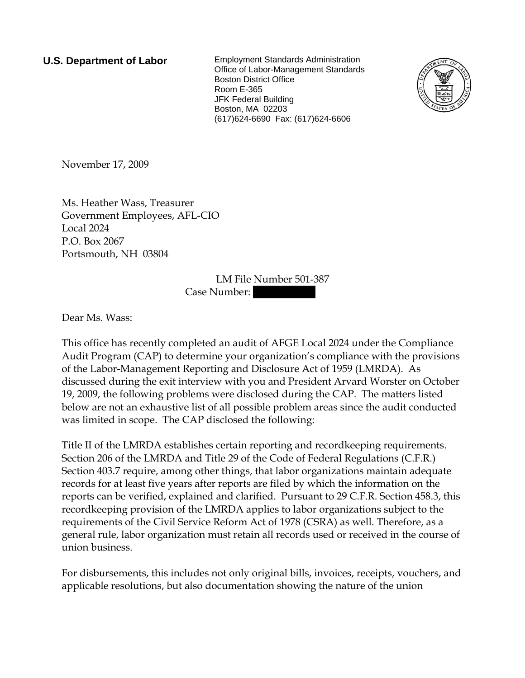**U.S. Department of Labor** Employment Standards Administration Office of Labor-Management Standards Boston District Office Room E-365 JFK Federal Building Boston, MA 02203 (617)624-6690 Fax: (617)624-6606



November 17, 2009

Ms. Heather Wass, Treasurer Government Employees, AFL-CIO Local 2024 P.O. Box 2067 Portsmouth, NH 03804

> LM File Number 501-387 Case Number:

Dear Ms. Wass:

This office has recently completed an audit of AFGE Local 2024 under the Compliance Audit Program (CAP) to determine your organization's compliance with the provisions of the Labor-Management Reporting and Disclosure Act of 1959 (LMRDA). As discussed during the exit interview with you and President Arvard Worster on October 19, 2009, the following problems were disclosed during the CAP. The matters listed below are not an exhaustive list of all possible problem areas since the audit conducted was limited in scope. The CAP disclosed the following:

Title II of the LMRDA establishes certain reporting and recordkeeping requirements. Section 206 of the LMRDA and Title 29 of the Code of Federal Regulations (C.F.R.) Section 403.7 require, among other things, that labor organizations maintain adequate records for at least five years after reports are filed by which the information on the reports can be verified, explained and clarified. Pursuant to 29 C.F.R. Section 458.3, this recordkeeping provision of the LMRDA applies to labor organizations subject to the requirements of the Civil Service Reform Act of 1978 (CSRA) as well. Therefore, as a general rule, labor organization must retain all records used or received in the course of union business.

For disbursements, this includes not only original bills, invoices, receipts, vouchers, and applicable resolutions, but also documentation showing the nature of the union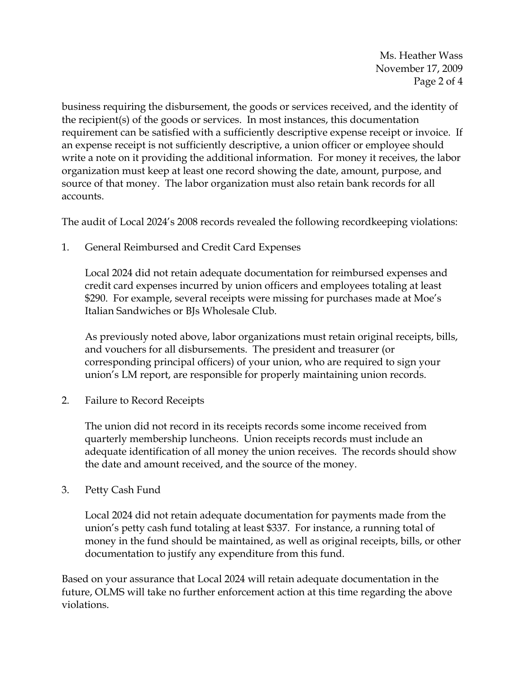Ms. Heather Wass November 17, 2009 Page 2 of 4

business requiring the disbursement, the goods or services received, and the identity of the recipient(s) of the goods or services. In most instances, this documentation requirement can be satisfied with a sufficiently descriptive expense receipt or invoice. If an expense receipt is not sufficiently descriptive, a union officer or employee should write a note on it providing the additional information. For money it receives, the labor organization must keep at least one record showing the date, amount, purpose, and source of that money. The labor organization must also retain bank records for all accounts.

The audit of Local 2024's 2008 records revealed the following recordkeeping violations:

1. General Reimbursed and Credit Card Expenses

Local 2024 did not retain adequate documentation for reimbursed expenses and credit card expenses incurred by union officers and employees totaling at least \$290. For example, several receipts were missing for purchases made at Moe's Italian Sandwiches or BJs Wholesale Club.

As previously noted above, labor organizations must retain original receipts, bills, and vouchers for all disbursements. The president and treasurer (or corresponding principal officers) of your union, who are required to sign your union's LM report, are responsible for properly maintaining union records.

2. Failure to Record Receipts

The union did not record in its receipts records some income received from quarterly membership luncheons. Union receipts records must include an adequate identification of all money the union receives. The records should show the date and amount received, and the source of the money.

3. Petty Cash Fund

Local 2024 did not retain adequate documentation for payments made from the union's petty cash fund totaling at least \$337. For instance, a running total of money in the fund should be maintained, as well as original receipts, bills, or other documentation to justify any expenditure from this fund.

Based on your assurance that Local 2024 will retain adequate documentation in the future, OLMS will take no further enforcement action at this time regarding the above violations.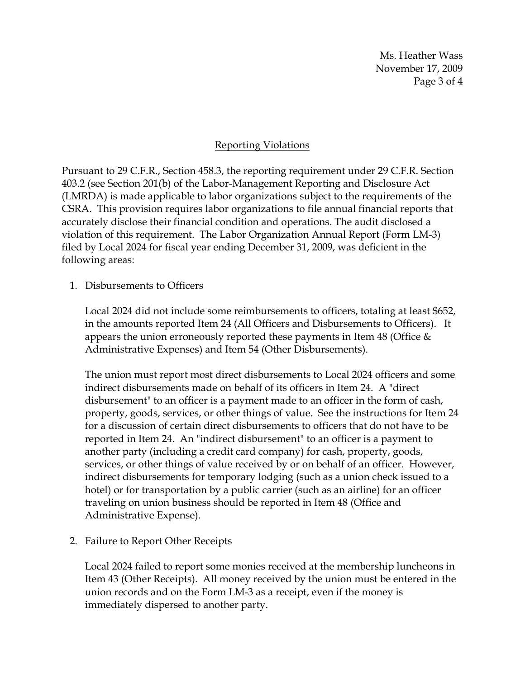Ms. Heather Wass November 17, 2009 Page 3 of 4

## Reporting Violations

Pursuant to 29 C.F.R., Section 458.3, the reporting requirement under 29 C.F.R. Section 403.2 (see Section 201(b) of the Labor-Management Reporting and Disclosure Act (LMRDA) is made applicable to labor organizations subject to the requirements of the CSRA. This provision requires labor organizations to file annual financial reports that accurately disclose their financial condition and operations. The audit disclosed a violation of this requirement. The Labor Organization Annual Report (Form LM-3) filed by Local 2024 for fiscal year ending December 31, 2009, was deficient in the following areas:

1. Disbursements to Officers

Local 2024 did not include some reimbursements to officers, totaling at least \$652, in the amounts reported Item 24 (All Officers and Disbursements to Officers). It appears the union erroneously reported these payments in Item 48 (Office  $\&$ Administrative Expenses) and Item 54 (Other Disbursements).

The union must report most direct disbursements to Local 2024 officers and some indirect disbursements made on behalf of its officers in Item 24. A "direct disbursement" to an officer is a payment made to an officer in the form of cash, property, goods, services, or other things of value. See the instructions for Item 24 for a discussion of certain direct disbursements to officers that do not have to be reported in Item 24. An "indirect disbursement" to an officer is a payment to another party (including a credit card company) for cash, property, goods, services, or other things of value received by or on behalf of an officer. However, indirect disbursements for temporary lodging (such as a union check issued to a hotel) or for transportation by a public carrier (such as an airline) for an officer traveling on union business should be reported in Item 48 (Office and Administrative Expense).

2. Failure to Report Other Receipts

Local 2024 failed to report some monies received at the membership luncheons in Item 43 (Other Receipts). All money received by the union must be entered in the union records and on the Form LM-3 as a receipt, even if the money is immediately dispersed to another party.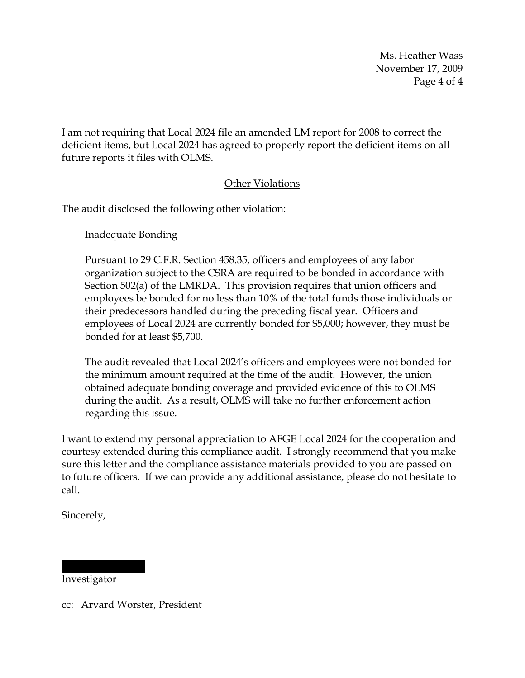Ms. Heather Wass November 17, 2009 Page 4 of 4

I am not requiring that Local 2024 file an amended LM report for 2008 to correct the deficient items, but Local 2024 has agreed to properly report the deficient items on all future reports it files with OLMS.

## Other Violations

The audit disclosed the following other violation:

Inadequate Bonding

Pursuant to 29 C.F.R. Section 458.35, officers and employees of any labor organization subject to the CSRA are required to be bonded in accordance with Section 502(a) of the LMRDA. This provision requires that union officers and employees be bonded for no less than 10% of the total funds those individuals or their predecessors handled during the preceding fiscal year. Officers and employees of Local 2024 are currently bonded for \$5,000; however, they must be bonded for at least \$5,700.

The audit revealed that Local 2024's officers and employees were not bonded for the minimum amount required at the time of the audit. However, the union obtained adequate bonding coverage and provided evidence of this to OLMS during the audit. As a result, OLMS will take no further enforcement action regarding this issue.

I want to extend my personal appreciation to AFGE Local 2024 for the cooperation and courtesy extended during this compliance audit. I strongly recommend that you make sure this letter and the compliance assistance materials provided to you are passed on to future officers. If we can provide any additional assistance, please do not hesitate to call.

Sincerely,

Investigator

|||||| |||||||

cc: Arvard Worster, President